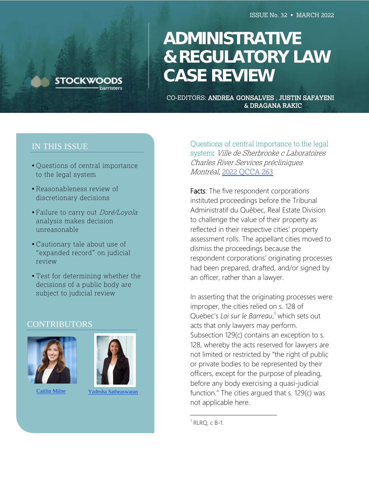

# **ADMINISTRATIVE & REGULATORY LAW**  $CASE$  **REVIEW ADMINISTRATIVE**

**CO-EDITORS: ANDREA GONSALVES, JUSTIN SAFAYENI** & DRAGANA RAKIC

## IN THIS ISSUE

- Questions of central importance to the legal system
- Reasonableness review of discretionary decisions
- Failure to carry out Doré/Loyola analysis makes decision unreasonable
- Cautionary tale about use of "expanded record" on judicial review
- Test for determining whether the decisions of a public body are subject to judicial review

#### CONTRIBUTORS



[Caitlin Mil](mailto:caitlinm@stockwoods.ca)ne Yadesha [Satheaswaran](mailto:yadeshas@stockwoods.ca)



Questions of central importance to the legal system: Ville de Sherbrooke c Laboratoires Charles River Services précliniques Montréal, [2022 QCCA 263](https://www.canlii.org/fr/qc/qcca/doc/2022/2022qcca263/2022qcca263.html)

Facts: The five respondent corporations instituted proceedings before the Tribunal Administratif du Québec, Real Estate Division to challenge the value of their property as reflected in their respective cities' property assessment rolls. The appellant cities moved to dismiss the proceedings because the respondent corporations' originating processes had been prepared, drafted, and/or signed by an officer, rather than a lawyer.

In asserting that the originating processes were improper, the cities relied on s. 128 of Quebec's Loi sur le Barreau,<sup>1</sup> which sets out acts that only lawyers may perform. Subsection 129(c) contains an exception to s. 128, whereby the acts reserved for lawyers are not limited or restricted by "the right of public or private bodies to be represented by their officers, except for the purpose of pleading, before any body exercising a quasi-judicial function." The cities argued that s. 129(c) was not applicable here.

 $1$  RLRQ, c B-1.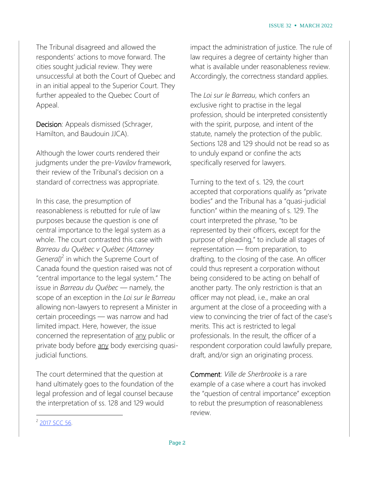The Tribunal disagreed and allowed the respondents' actions to move forward. The cities sought judicial review. They were unsuccessful at both the Court of Quebec and in an initial appeal to the Superior Court. They further appealed to the Quebec Court of Appeal.

Decision: Appeals dismissed (Schrager, Hamilton, and Baudouin JJCA).

Although the lower courts rendered their judgments under the pre-*Vavilov* framework, their review of the Tribunal's decision on a standard of correctness was appropriate.

In this case, the presumption of reasonableness is rebutted for rule of law purposes because the question is one of central importance to the legal system as a whole. The court contrasted this case with *Barreau du Québec v Québec (Attorney* General)<sup>2</sup> in which the Supreme Court of Canada found the question raised was not of "central importance to the legal system." The issue in *Barreau du Québec* — namely, the scope of an exception in the *Loi sur le Barreau* allowing non-lawyers to represent a Minister in certain proceedings — was narrow and had limited impact. Here, however, the issue concerned the representation of any public or private body before any body exercising quasijudicial functions.

The court determined that the question at hand ultimately goes to the foundation of the legal profession and of legal counsel because the interpretation of ss. 128 and 129 would

impact the administration of justice. The rule of law requires a degree of certainty higher than what is available under reasonableness review. Accordingly, the correctness standard applies.

The *Loi sur le Barreau*, which confers an exclusive right to practise in the legal profession, should be interpreted consistently with the spirit, purpose, and intent of the statute, namely the protection of the public. Sections 128 and 129 should not be read so as to unduly expand or confine the acts specifically reserved for lawyers.

Turning to the text of s. 129, the court accepted that corporations qualify as "private bodies" and the Tribunal has a "quasi-judicial function" within the meaning of s. 129. The court interpreted the phrase, "to be represented by their officers, except for the purpose of pleading," to include all stages of representation — from preparation, to drafting, to the closing of the case. An officer could thus represent a corporation without being considered to be acting on behalf of another party. The only restriction is that an officer may not plead, i.e., make an oral argument at the close of a proceeding with a view to convincing the trier of fact of the case's merits. This act is restricted to legal professionals. In the result, the officer of a respondent corporation could lawfully prepare, draft, and/or sign an originating process.

Comment: *Ville de Sherbrooke* is a rare example of a case where a court has invoked the "question of central importance" exception to rebut the presumption of reasonableness review.

<sup>&</sup>lt;sup>2</sup> [2017](https://www.canlii.org/en/ca/scc/doc/2019/2019scc65/2019scc65.html) SCC 56.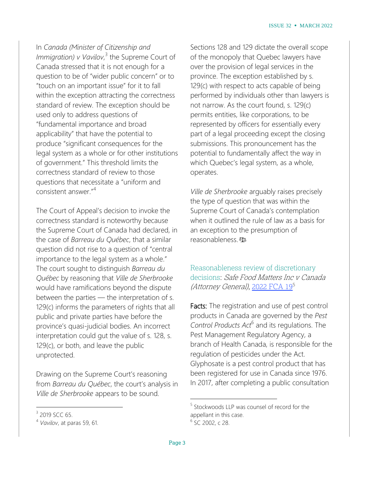In *Canada (Minister of Citizenship and Immigration) v Vavilov*, 3 the Supreme Court of Canada stressed that it is not enough for a question to be of "wider public concern" or to "touch on an important issue" for it to fall within the exception attracting the correctness standard of review. The exception should be used only to address questions of "fundamental importance and broad applicability" that have the potential to produce "significant consequences for the legal system as a whole or for other institutions of government." This threshold limits the correctness standard of review to those questions that necessitate a "uniform and consistent answer."<sup>4</sup>

The Court of Appeal's decision to invoke the correctness standard is noteworthy because the Supreme Court of Canada had declared, in the case of *Barreau du Québec*, that a similar question did not rise to a question of "central importance to the legal system as a whole." The court sought to distinguish *Barreau du Québec* by reasoning that *Ville de Sherbrooke* would have ramifications beyond the dispute between the parties — the interpretation of s. 129(c) informs the parameters of rights that all public and private parties have before the province's quasi-judicial bodies. An incorrect interpretation could gut the value of s. 128, s. 129(c), or both, and leave the public unprotected.

Drawing on the Supreme Court's reasoning from *Barreau du Québec*, the court's analysis in *Ville de Sherbrooke* appears to be sound*.*

 $\overline{a}$ 

Sections 128 and 129 dictate the overall scope of the monopoly that Quebec lawyers have over the provision of legal services in the province. The exception established by s. 129(c) with respect to acts capable of being performed by individuals other than lawyers is not narrow. As the court found, s. 129(c) permits entities, like corporations, to be represented by officers for essentially every part of a legal proceeding except the closing submissions. This pronouncement has the potential to fundamentally affect the way in which Quebec's legal system, as a whole, operates.

*Ville de Sherbrooke* arguably raises precisely the type of question that was within the Supreme Court of Canada's contemplation when it outlined the rule of law as a basis for an exception to the presumption of reasonableness.

Reasonableness review of discretionary decisions: Safe Food Matters Inc v Canada (Attorney General), [2022](https://canlii.ca/t/jm3jh) FCA 19<sup>5</sup>

Facts: The registration and use of pest control products in Canada are governed by the *Pest Control Products Act*<sup>6</sup> and its regulations. The Pest Management Regulatory Agency, a branch of Health Canada, is responsible for the regulation of pesticides under the Act. Glyphosate is a pest control product that has been registered for use in Canada since 1976. In 2017, after completing a public consultation

<sup>&</sup>lt;sup>3</sup> 2019 SCC 65.

<sup>4</sup> *Vavilov*, at paras 59, 61.

<sup>&</sup>lt;sup>5</sup> Stockwoods LLP was counsel of record for the appellant in this case. <sup>6</sup> SC 2002, c 28.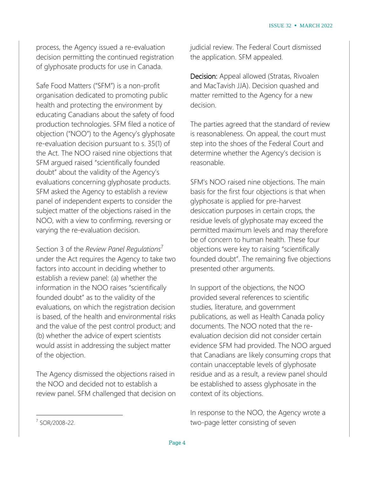process, the Agency issued a re-evaluation decision permitting the continued registration of glyphosate products for use in Canada.

Safe Food Matters ("SFM") is a non-profit organisation dedicated to promoting public health and protecting the environment by educating Canadians about the safety of food production technologies. SFM filed a notice of objection ("NOO") to the Agency's glyphosate re-evaluation decision pursuant to s. 35(1) of the Act. The NOO raised nine objections that SFM argued raised "scientifically founded doubt" about the validity of the Agency's evaluations concerning glyphosate products. SFM asked the Agency to establish a review panel of independent experts to consider the subject matter of the objections raised in the NOO, with a view to confirming, reversing or varying the re-evaluation decision.

Section 3 of the *Review Panel Regulations* under the Act requires the Agency to take two factors into account in deciding whether to establish a review panel: (a) whether the information in the NOO raises "scientifically founded doubt" as to the validity of the evaluations, on which the registration decision is based, of the health and environmental risks and the value of the pest control product; and (b) whether the advice of expert scientists would assist in addressing the subject matter of the objection.

The Agency dismissed the objections raised in the NOO and decided not to establish a review panel. SFM challenged that decision on judicial review. The Federal Court dismissed the application. SFM appealed.

Decision: Appeal allowed (Stratas, Rivoalen and MacTavish JJA). Decision quashed and matter remitted to the Agency for a new decision.

The parties agreed that the standard of review is reasonableness. On appeal, the court must step into the shoes of the Federal Court and determine whether the Agency's decision is reasonable.

SFM's NOO raised nine objections. The main basis for the first four objections is that when glyphosate is applied for pre-harvest desiccation purposes in certain crops, the residue levels of glyphosate may exceed the permitted maximum levels and may therefore be of concern to human health. These four objections were key to raising "scientifically founded doubt". The remaining five objections presented other arguments.

In support of the objections, the NOO provided several references to scientific studies, literature, and government publications, as well as Health Canada policy documents. The NOO noted that the reevaluation decision did not consider certain evidence SFM had provided. The NOO argued that Canadians are likely consuming crops that contain unacceptable levels of glyphosate residue and as a result, a review panel should be established to assess glyphosate in the context of its objections.

In response to the NOO, the Agency wrote a two-page letter consisting of seven

<sup>7</sup> SOR/2008-22.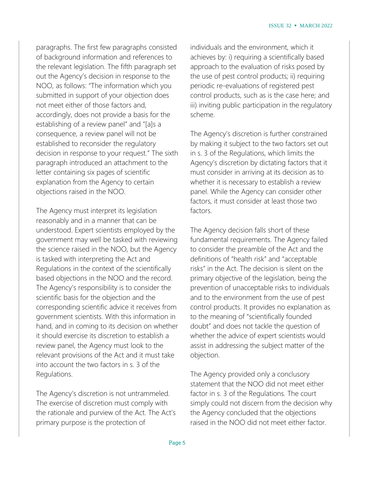paragraphs. The first few paragraphs consisted of background information and references to the relevant legislation. The fifth paragraph set out the Agency's decision in response to the NOO, as follows: "The information which you submitted in support of your objection does not meet either of those factors and, accordingly, does not provide a basis for the establishing of a review panel" and "[a]s a consequence, a review panel will not be established to reconsider the regulatory decision in response to your request." The sixth paragraph introduced an attachment to the letter containing six pages of scientific explanation from the Agency to certain objections raised in the NOO.

The Agency must interpret its legislation reasonably and in a manner that can be understood. Expert scientists employed by the government may well be tasked with reviewing the science raised in the NOO, but the Agency is tasked with interpreting the Act and Regulations in the context of the scientifically based objections in the NOO and the record. The Agency's responsibility is to consider the scientific basis for the objection and the corresponding scientific advice it receives from government scientists. With this information in hand, and in coming to its decision on whether it should exercise its discretion to establish a review panel, the Agency must look to the relevant provisions of the Act and it must take into account the two factors in s. 3 of the Regulations.

The Agency's discretion is not untrammeled. The exercise of discretion must comply with the rationale and purview of the Act. The Act's primary purpose is the protection of

individuals and the environment, which it achieves by: i) requiring a scientifically based approach to the evaluation of risks posed by the use of pest control products; ii) requiring periodic re-evaluations of registered pest control products, such as is the case here; and iii) inviting public participation in the regulatory scheme.

The Agency's discretion is further constrained by making it subject to the two factors set out in s. 3 of the Regulations, which limits the Agency's discretion by dictating factors that it must consider in arriving at its decision as to whether it is necessary to establish a review panel. While the Agency can consider other factors, it must consider at least those two factors.

The Agency decision falls short of these fundamental requirements. The Agency failed to consider the preamble of the Act and the definitions of "health risk" and "acceptable risks" in the Act. The decision is silent on the primary objective of the legislation, being the prevention of unacceptable risks to individuals and to the environment from the use of pest control products. It provides no explanation as to the meaning of "scientifically founded doubt" and does not tackle the question of whether the advice of expert scientists would assist in addressing the subject matter of the objection.

The Agency provided only a conclusory statement that the NOO did not meet either factor in s. 3 of the Regulations. The court simply could not discern from the decision why the Agency concluded that the objections raised in the NOO did not meet either factor.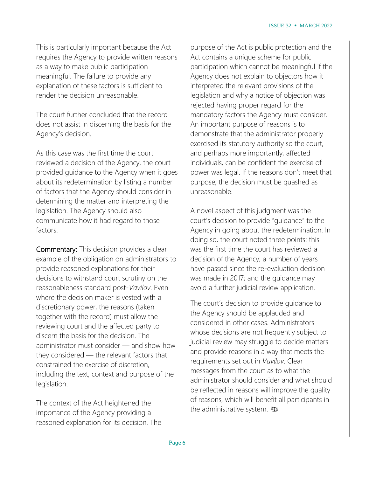This is particularly important because the Act requires the Agency to provide written reasons as a way to make public participation meaningful. The failure to provide any explanation of these factors is sufficient to render the decision unreasonable.

The court further concluded that the record does not assist in discerning the basis for the Agency's decision.

As this case was the first time the court reviewed a decision of the Agency, the court provided guidance to the Agency when it goes about its redetermination by listing a number of factors that the Agency should consider in determining the matter and interpreting the legislation. The Agency should also communicate how it had regard to those factors.

Commentary: This decision provides a clear example of the obligation on administrators to provide reasoned explanations for their decisions to withstand court scrutiny on the reasonableness standard post-*Vavilov*. Even where the decision maker is vested with a discretionary power, the reasons (taken together with the record) must allow the reviewing court and the affected party to discern the basis for the decision. The administrator must consider — and show how they considered — the relevant factors that constrained the exercise of discretion, including the text, context and purpose of the legislation.

The context of the Act heightened the importance of the Agency providing a reasoned explanation for its decision. The purpose of the Act is public protection and the Act contains a unique scheme for public participation which cannot be meaningful if the Agency does not explain to objectors how it interpreted the relevant provisions of the legislation and why a notice of objection was rejected having proper regard for the mandatory factors the Agency must consider. An important purpose of reasons is to demonstrate that the administrator properly exercised its statutory authority so the court, and perhaps more importantly, affected individuals, can be confident the exercise of power was legal. If the reasons don't meet that purpose, the decision must be quashed as unreasonable.

A novel aspect of this judgment was the court's decision to provide "guidance" to the Agency in going about the redetermination. In doing so, the court noted three points: this was the first time the court has reviewed a decision of the Agency; a number of years have passed since the re-evaluation decision was made in 2017; and the guidance may avoid a further judicial review application.

The court's decision to provide guidance to the Agency should be applauded and considered in other cases. Administrators whose decisions are not frequently subject to judicial review may struggle to decide matters and provide reasons in a way that meets the requirements set out in *Vavilov*. Clear messages from the court as to what the administrator should consider and what should be reflected in reasons will improve the quality of reasons, which will benefit all participants in the administrative system.  $\mathbf{\Phi}$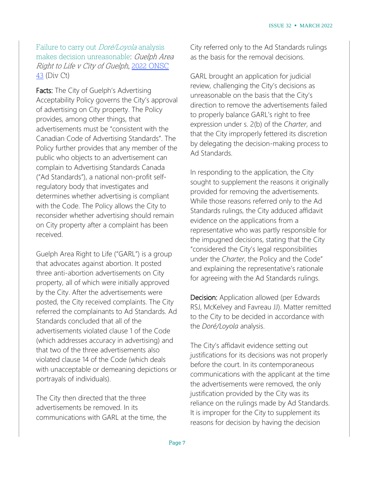Failure to carry out *Doré/Loyola* analysis makes decision unreasonable: Guelph Area Right to Life <sup>v</sup> City of Guelph, 2022 [ONSC](https://www.canlii.org/en/on/onscdc/doc/2022/2022onsc43/2022onsc43.html) [43](https://www.canlii.org/en/on/onscdc/doc/2022/2022onsc43/2022onsc43.html) (Div Ct)

Facts: The City of Guelph's Advertising Acceptability Policy governs the City's approval of advertising on City property. The Policy provides, among other things, that advertisements must be "consistent with the Canadian Code of Advertising Standards". The Policy further provides that any member of the public who objects to an advertisement can complain to Advertising Standards Canada ("Ad Standards"), a national non-profit selfregulatory body that investigates and determines whether advertising is compliant with the Code. The Policy allows the City to reconsider whether advertising should remain on City property after a complaint has been received.

Guelph Area Right to Life ("GARL") is a group that advocates against abortion. It posted three anti-abortion advertisements on City property, all of which were initially approved by the City. After the advertisements were posted, the City received complaints. The City referred the complainants to Ad Standards. Ad Standards concluded that all of the advertisements violated clause 1 of the Code (which addresses accuracy in advertising) and that two of the three advertisements also violated clause 14 of the Code (which deals with unacceptable or demeaning depictions or portrayals of individuals).

The City then directed that the three advertisements be removed. In its communications with GARL at the time, the City referred only to the Ad Standards rulings as the basis for the removal decisions.

GARL brought an application for judicial review, challenging the City's decisions as unreasonable on the basis that the City's direction to remove the advertisements failed to properly balance GARL's right to free expression under s. 2(b) of the *Charter*, and that the City improperly fettered its discretion by delegating the decision-making process to Ad Standards.

In responding to the application, the City sought to supplement the reasons it originally provided for removing the advertisements. While those reasons referred only to the Ad Standards rulings, the City adduced affidavit evidence on the applications from a representative who was partly responsible for the impugned decisions, stating that the City "considered the City's legal responsibilities under the *Charter*, the Policy and the Code" and explaining the representative's rationale for agreeing with the Ad Standards rulings.

Decision: Application allowed (per Edwards RSJ, McKelvey and Favreau JJ). Matter remitted to the City to be decided in accordance with the *Doré/Loyola* analysis.

The City's affidavit evidence setting out justifications for its decisions was not properly before the court. In its contemporaneous communications with the applicant at the time the advertisements were removed, the only justification provided by the City was its reliance on the rulings made by Ad Standards. It is improper for the City to supplement its reasons for decision by having the decision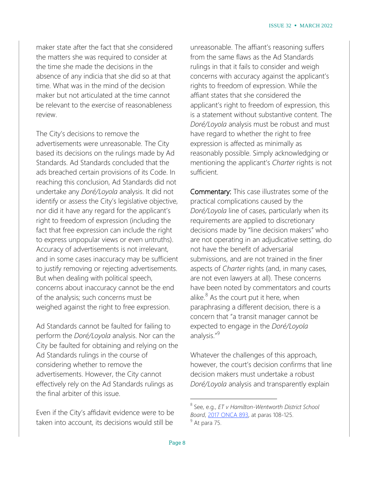maker state after the fact that she considered the matters she was required to consider at the time she made the decisions in the absence of any indicia that she did so at that time. What was in the mind of the decision maker but not articulated at the time cannot be relevant to the exercise of reasonableness review.

The City's decisions to remove the advertisements were unreasonable. The City based its decisions on the rulings made by Ad Standards. Ad Standards concluded that the ads breached certain provisions of its Code. In reaching this conclusion, Ad Standards did not undertake any *Doré/Loyola* analysis. It did not identify or assess the City's legislative objective, nor did it have any regard for the applicant's right to freedom of expression (including the fact that free expression can include the right to express unpopular views or even untruths). Accuracy of advertisements is not irrelevant, and in some cases inaccuracy may be sufficient to justify removing or rejecting advertisements. But when dealing with political speech, concerns about inaccuracy cannot be the end of the analysis; such concerns must be weighed against the right to free expression.

Ad Standards cannot be faulted for failing to perform the *Doré/Loyola* analysis. Nor can the City be faulted for obtaining and relying on the Ad Standards rulings in the course of considering whether to remove the advertisements. However, the City cannot effectively rely on the Ad Standards rulings as the final arbiter of this issue.

Even if the City's affidavit evidence were to be taken into account, its decisions would still be

unreasonable. The affiant's reasoning suffers from the same flaws as the Ad Standards rulings in that it fails to consider and weigh concerns with accuracy against the applicant's rights to freedom of expression. While the affiant states that she considered the applicant's right to freedom of expression, this is a statement without substantive content. The *Doré/Loyola* analysis must be robust and must have regard to whether the right to free expression is affected as minimally as reasonably possible. Simply acknowledging or mentioning the applicant's *Charter* rights is not sufficient.

Commentary: This case illustrates some of the practical complications caused by the *Doré/Loyola* line of cases, particularly when its requirements are applied to discretionary decisions made by "line decision makers" who are not operating in an adjudicative setting, do not have the benefit of adversarial submissions, and are not trained in the finer aspects of *Charter* rights (and, in many cases, are not even lawyers at all). These concerns have been noted by commentators and courts alike. $8$  As the court put it here, when paraphrasing a different decision, there is a concern that "a transit manager cannot be expected to engage in the *Doré/Loyola* analysis."<sup>9</sup>

Whatever the challenges of this approach, however, the court's decision confirms that line decision makers must undertake a robust *Doré/Loyola* analysis and transparently explain

<sup>8</sup> See, e.g., *ET v Hamilton-Wentworth District School Board*, 2017 [ONCA](https://www.canlii.org/en/on/onca/doc/2017/2017onca893/2017onca893.html) 893, at paras 108-125. <sup>9</sup> At para 75.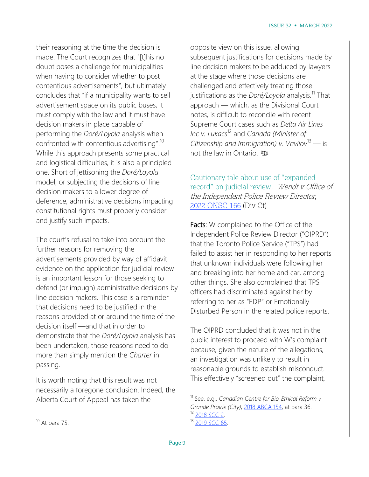their reasoning at the time the decision is made. The Court recognizes that "[t]his no doubt poses a challenge for municipalities when having to consider whether to post contentious advertisements", but ultimately concludes that "if a municipality wants to sell advertisement space on its public buses, it must comply with the law and it must have decision makers in place capable of performing the *Doré/Loyola* analysis when confronted with contentious advertising".<sup>10</sup> While this approach presents some practical and logistical difficulties, it is also a principled one. Short of jettisoning the *Doré/Loyola* model, or subjecting the decisions of line decision makers to a lower degree of deference, administrative decisions impacting constitutional rights must properly consider and justify such impacts.

The court's refusal to take into account the further reasons for removing the advertisements provided by way of affidavit evidence on the application for judicial review is an important lesson for those seeking to defend (or impugn) administrative decisions by line decision makers. This case is a reminder that decisions need to be justified in the reasons provided at or around the time of the decision itself —and that in order to demonstrate that the *Doré/Loyola* analysis has been undertaken, those reasons need to do more than simply mention the *Charter* in passing.

It is worth noting that this result was not necessarily a foregone conclusion. Indeed, the Alberta Court of Appeal has taken the

opposite view on this issue, allowing subsequent justifications for decisions made by line decision makers to be adduced by lawyers at the stage where those decisions are challenged and effectively treating those justifications as the *Doré/Loyola* analysis.<sup>11</sup> That approach — which, as the Divisional Court notes, is difficult to reconcile with recent Supreme Court cases such as *Delta Air Lines Inc v. Lukacs*<sup>12</sup> and *Canada (Minister of Citizenship and Immigration) v. Vavilov*<sup>13</sup> — is not the law in Ontario.

Cautionary tale about use of "expanded record" on judicial review: Wendt v Office of the Independent Police Review Director, 2022 [ONSC](https://canlii.ca/t/jlmnd) 166 (Div Ct)

Facts: W complained to the Office of the Independent Police Review Director ("OIPRD") that the Toronto Police Service ("TPS") had failed to assist her in responding to her reports that unknown individuals were following her and breaking into her home and car, among other things. She also complained that TPS officers had discriminated against her by referring to her as "EDP" or Emotionally Disturbed Person in the related police reports.

The OIPRD concluded that it was not in the public interest to proceed with W's complaint because, given the nature of the allegations, an investigation was unlikely to result in reasonable grounds to establish misconduct. This effectively "screened out" the complaint,

 $\overline{a}$ 

<sup>11</sup> See, e.g., *Canadian Centre for Bio-Ethical Reform v Grande Prairie (City)*, 2018 [ABCA](https://www.canlii.org/en/ab/abca/doc/2018/2018abca154/2018abca154.html) 154, at para 36. [2018](https://www.canlii.org/en/ca/scc/doc/2018/2018scc2/2018scc2.html) SCC 2.

<sup>&</sup>lt;sup>13</sup> [2019](https://www.canlii.org/en/ca/scc/doc/2019/2019scc65/2019scc65.html) SCC 65.

 $10$  At para 75.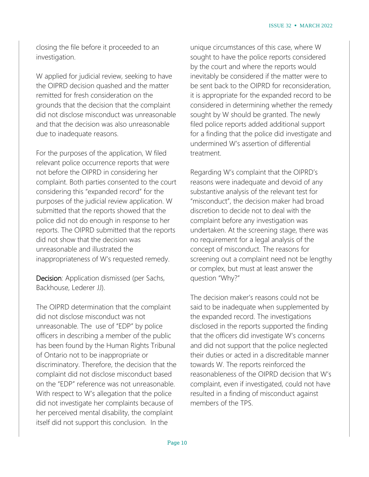closing the file before it proceeded to an investigation.

W applied for judicial review, seeking to have the OIPRD decision quashed and the matter remitted for fresh consideration on the grounds that the decision that the complaint did not disclose misconduct was unreasonable and that the decision was also unreasonable due to inadequate reasons.

For the purposes of the application, W filed relevant police occurrence reports that were not before the OIPRD in considering her complaint. Both parties consented to the court considering this "expanded record" for the purposes of the judicial review application. W submitted that the reports showed that the police did not do enough in response to her reports. The OIPRD submitted that the reports did not show that the decision was unreasonable and illustrated the inappropriateness of W's requested remedy.

Decision: Application dismissed (per Sachs, Backhouse, Lederer JJ).

The OIPRD determination that the complaint did not disclose misconduct was not unreasonable. The use of "EDP" by police officers in describing a member of the public has been found by the Human Rights Tribunal of Ontario not to be inappropriate or discriminatory. Therefore, the decision that the complaint did not disclose misconduct based on the "EDP" reference was not unreasonable. With respect to W's allegation that the police did not investigate her complaints because of her perceived mental disability, the complaint itself did not support this conclusion. In the

unique circumstances of this case, where W sought to have the police reports considered by the court and where the reports would inevitably be considered if the matter were to be sent back to the OIPRD for reconsideration, it is appropriate for the expanded record to be considered in determining whether the remedy sought by W should be granted. The newly filed police reports added additional support for a finding that the police did investigate and undermined W's assertion of differential treatment.

Regarding W's complaint that the OIPRD's reasons were inadequate and devoid of any substantive analysis of the relevant test for "misconduct", the decision maker had broad discretion to decide not to deal with the complaint before any investigation was undertaken. At the screening stage, there was no requirement for a legal analysis of the concept of misconduct. The reasons for screening out a complaint need not be lengthy or complex, but must at least answer the question "Why?"

The decision maker's reasons could not be said to be inadequate when supplemented by the expanded record. The investigations disclosed in the reports supported the finding that the officers did investigate W's concerns and did not support that the police neglected their duties or acted in a discreditable manner towards W. The reports reinforced the reasonableness of the OIPRD decision that W's complaint, even if investigated, could not have resulted in a finding of misconduct against members of the TPS.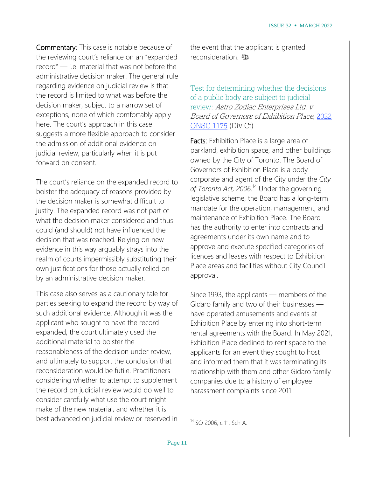Commentary: This case is notable because of the reviewing court's reliance on an "expanded record" — i.e. material that was not before the administrative decision maker. The general rule regarding evidence on judicial review is that the record is limited to what was before the decision maker, subject to a narrow set of exceptions, none of which comfortably apply here. The court's approach in this case suggests a more flexible approach to consider the admission of additional evidence on judicial review, particularly when it is put forward on consent.

The court's reliance on the expanded record to bolster the adequacy of reasons provided by the decision maker is somewhat difficult to justify. The expanded record was not part of what the decision maker considered and thus could (and should) not have influenced the decision that was reached. Relying on new evidence in this way arguably strays into the realm of courts impermissibly substituting their own justifications for those actually relied on by an administrative decision maker.

This case also serves as a cautionary tale for parties seeking to expand the record by way of such additional evidence. Although it was the applicant who sought to have the record expanded, the court ultimately used the additional material to bolster the reasonableness of the decision under review, and ultimately to support the conclusion that reconsideration would be futile. Practitioners considering whether to attempt to supplement the record on judicial review would do well to consider carefully what use the court might make of the new material, and whether it is best advanced on judicial review or reserved in

the event that the applicant is granted reconsideration.

Test for determining whether the decisions of a public body are subject to judicial review: Astro Zodiac Enterprises Ltd. v Board of Governors of Exhibition Place, [2022](https://www.canlii.org/en/on/onscdc/doc/2022/2022onsc1175/2022onsc1175.html) [ONSC](https://www.canlii.org/en/on/onscdc/doc/2022/2022onsc1175/2022onsc1175.html) 1175 (Div Ct)

Facts: Exhibition Place is a large area of parkland, exhibition space, and other buildings owned by the City of Toronto. The Board of Governors of Exhibition Place is a body corporate and agent of the City under the *City of Toronto Act, 2006*. <sup>14</sup> Under the governing legislative scheme, the Board has a long-term mandate for the operation, management, and maintenance of Exhibition Place. The Board has the authority to enter into contracts and agreements under its own name and to approve and execute specified categories of licences and leases with respect to Exhibition Place areas and facilities without City Council approval.

Since 1993, the applicants — members of the Gidaro family and two of their businesses have operated amusements and events at Exhibition Place by entering into short-term rental agreements with the Board. In May 2021, Exhibition Place declined to rent space to the applicants for an event they sought to host and informed them that it was terminating its relationship with them and other Gidaro family companies due to a history of employee harassment complaints since 2011.

<sup>14</sup> SO 2006, c 11, Sch A.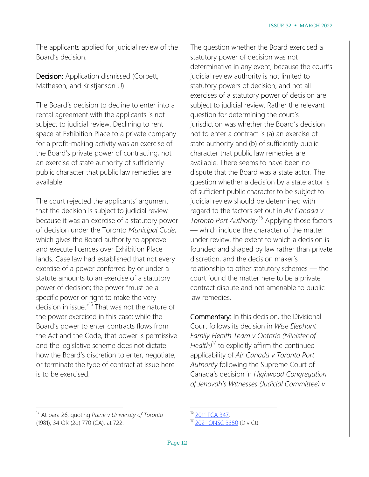The applicants applied for judicial review of the Board's decision.

Decision: Application dismissed (Corbett, Matheson, and Kristjanson JJ).

The Board's decision to decline to enter into a rental agreement with the applicants is not subject to judicial review. Declining to rent space at Exhibition Place to a private company for a profit-making activity was an exercise of the Board's private power of contracting, not an exercise of state authority of sufficiently public character that public law remedies are available.

The court rejected the applicants' argument that the decision is subject to judicial review because it was an exercise of a statutory power of decision under the Toronto *Municipal Code*, which gives the Board authority to approve and execute licences over Exhibition Place lands. Case law had established that not every exercise of a power conferred by or under a statute amounts to an exercise of a statutory power of decision; the power "must be a specific power or right to make the very decision in issue."<sup>15</sup> That was not the nature of the power exercised in this case: while the Board's power to enter contracts flows from the Act and the Code, that power is permissive and the legislative scheme does not dictate how the Board's discretion to enter, negotiate, or terminate the type of contract at issue here is to be exercised.

The question whether the Board exercised a statutory power of decision was not determinative in any event, because the court's judicial review authority is not limited to statutory powers of decision, and not all exercises of a statutory power of decision are subject to judicial review. Rather the relevant question for determining the court's jurisdiction was whether the Board's decision not to enter a contract is (a) an exercise of state authority and (b) of sufficiently public character that public law remedies are available. There seems to have been no dispute that the Board was a state actor. The question whether a decision by a state actor is of sufficient public character to be subject to judicial review should be determined with regard to the factors set out in *Air Canada v Toronto Port Authority*. <sup>16</sup> Applying those factors — which include the character of the matter under review, the extent to which a decision is founded and shaped by law rather than private discretion, and the decision maker's relationship to other statutory schemes — the court found the matter here to be a private contract dispute and not amenable to public law remedies.

Commentary: In this decision, the Divisional Court follows its decision in *Wise Elephant Family Health Team v Ontario (Minister of Health)*<sup>17</sup> to explicitly affirm the continued applicability of *Air Canada v Toronto Port Authority* following the Supreme Court of Canada's decision in *Highwood Congregation of Jehovah's Witnesses (Judicial Committee) v*

 $\overline{a}$ 

<sup>15</sup> At para 26, quoting *Paine v University of Toronto* (1981), 34 OR (2d) 770 (CA), at 722.

<sup>2011</sup> FCA [347.](https://www.canlii.org/en/ca/fca/doc/2011/2011fca347/2011fca347.html)

<sup>17</sup> 2021 [ONSC](https://www.canlii.org/en/on/onscdc/doc/2021/2021onsc3350/2021onsc3350.html) 3350 (Div Ct).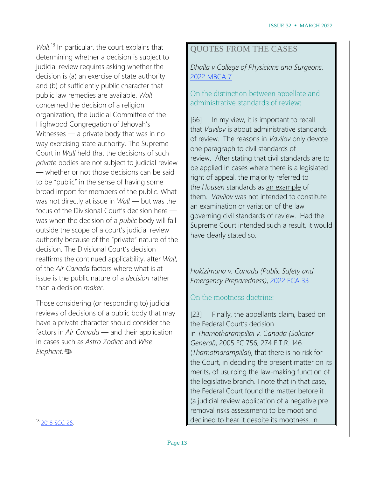*Wall*. <sup>18</sup> In particular, the court explains that determining whether a decision is subject to judicial review requires asking whether the decision is (a) an exercise of state authority and (b) of sufficiently public character that public law remedies are available. *Wall* concerned the decision of a religion organization, the Judicial Committee of the Highwood Congregation of Jehovah's Witnesses — a private body that was in no way exercising state authority. The Supreme Court in *Wall* held that the decisions of such *private* bodies are not subject to judicial review — whether or not those decisions can be said to be "public" in the sense of having some broad import for members of the public. What was not directly at issue in *Wall* — but was the focus of the Divisional Court's decision here was when the decision of a *public* body will fall outside the scope of a court's judicial review authority because of the "private" nature of the decision. The Divisional Court's decision reaffirms the continued applicability, after *Wall*, of the *Air Canada* factors where what is at issue is the public nature of a *decision* rather than a decision *maker*.

Those considering (or responding to) judicial reviews of decisions of a public body that may have a private character should consider the factors in *Air Canada* — and their application in cases such as *Astro Zodiac* and *Wise Elephant.*

## QUOTES FROM THE CASES

*Dhalla v College of Physicians and Surgeons*, 2022 [MBCA](https://canlii.ca/t/jm17k) 7

### On the distinction between appellate and administrative standards of review:

[66] In my view, it is important to recall that *Vavilov* is about administrative standards of review. The reasons in *Vavilov* only devote one paragraph to civil standards of review. After stating that civil standards are to be applied in cases where there is a legislated right of appeal, the majority referred to the *Housen* standards as an example of them. *Vavilov* was not intended to constitute an examination or variation of the law governing civil standards of review. Had the Supreme Court intended such a result, it would have clearly stated so.

*Hakizimana v. Canada (Public Safety and Emergency Preparedness)*, [2022](https://canlii.ca/t/jml73) FCA 33

#### On the mootness doctrine:

[23] Finally, the appellants claim, based on the Federal Court's decision in *Thamotharampillai v. Canada (Solicitor General)*, 2005 FC 756, 274 F.T.R. 146 (*Thamotharampillai*), that there is no risk for the Court, in deciding the present matter on its merits, of usurping the law-making function of the legislative branch. I note that in that case, the Federal Court found the matter before it (a judicial review application of a negative preremoval risks assessment) to be moot and declined to hear it despite its mootness. In

<sup>18</sup> [2018](https://www.canlii.org/en/ca/scc/doc/2018/2018scc26/2018scc26.html) SCC 26.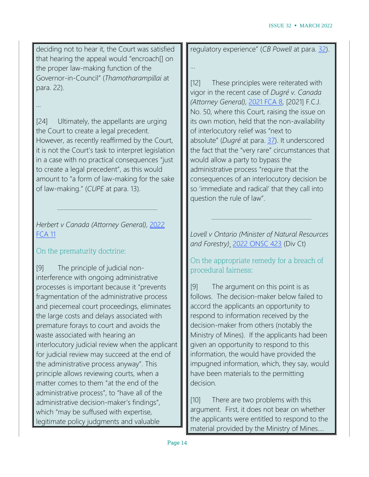deciding not to hear it, the Court was satisfied that hearing the appeal would "encroach[] on the proper law-making function of the Governor-in-Council" (*Thamotharampillai* at para. 22).

## …

[24] Ultimately, the appellants are urging the Court to create a legal precedent. However, as recently reaffirmed by the Court, it is not the Court's task to interpret legislation in a case with no practical consequences "just to create a legal precedent", as this would amount to "a form of law-making for the sake of law-making." (*CUPE* at para. 13).

## *Herbert v Canada (Attorney General)*, [2022](https://canlii.ca/t/jlx81) [FCA](https://canlii.ca/t/jlx81) 11

## On the prematurity doctrine:

[9] The principle of judicial noninterference with ongoing administrative processes is important because it "prevents fragmentation of the administrative process and piecemeal court proceedings, eliminates the large costs and delays associated with premature forays to court and avoids the waste associated with hearing an interlocutory judicial review when the applicant for judicial review may succeed at the end of the administrative process anyway". This principle allows reviewing courts, when a matter comes to them "at the end of the administrative process", to "have all of the administrative decision-maker's findings", which "may be suffused with expertise, legitimate policy judgments and valuable

regulatory experience" (*CB Powell* at para. [32\)](https://www.canlii.org/en/ca/fca/doc/2010/2010fca61/2010fca61.html#par32).

…

[12] These principles were reiterated with vigor in the recent case of *Dugré v. Canada (Attorney General)*, [2021](https://www.canlii.org/en/ca/fca/doc/2021/2021fca8/2021fca8.html) FCA 8, [2021] F.C.J. No. 50, where this Court, raising the issue on its own motion, held that the non-availability of interlocutory relief was "next to absolute" (*Dugré* at para. [37\)](https://www.canlii.org/en/ca/fca/doc/2021/2021fca8/2021fca8.html#par37). It underscored the fact that the "very rare" circumstances that would allow a party to bypass the administrative process "require that the consequences of an interlocutory decision be so 'immediate and radical' that they call into question the rule of law".

*Lovell v Ontario (Minister of Natural Resources and Forestry)*¸ 2022 [ONSC](https://canlii.ca/t/jlsjf) 423 (Div Ct)

On the appropriate remedy for a breach of procedural fairness:

[9] The argument on this point is as follows. The decision-maker below failed to accord the applicants an opportunity to respond to information received by the decision-maker from others (notably the Ministry of Mines). If the applicants had been given an opportunity to respond to this information, the would have provided the impugned information, which, they say, would have been materials to the permitting decision.

[10] There are two problems with this argument. First, it does not bear on whether the applicants were entitled to respond to the material provided by the Ministry of Mines….